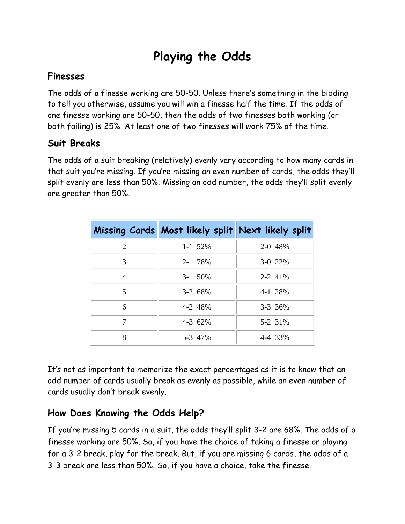## **Playing the Odds**

#### **Finesses**

The odds of a finesse working are 50-50. Unless there's something in the bidding to tell you otherwise, assume you will win a finesse half the time. If the odds of one finesse working are 50-50, then the odds of two finesses both working (or both failing) is 25%. At least one of two finesses will work 75% of the time.

#### **Suit Breaks**

The odds of a suit breaking (relatively) evenly vary according to how many cards in that suit you're missing. If you're missing an even number of cards, the odds they'll split evenly are less than 50%. Missing an odd number, the odds they'll split evenly are greater than 50%.

|                         | Missing Cards Most likely split Next likely split |         |
|-------------------------|---------------------------------------------------|---------|
| 2                       | $1 - 1$ 52%                                       | 2-0 48% |
| 3                       | 2-1 78%                                           | 3-0 22% |
| $\overline{4}$          | 3-1 50%                                           | 2-2 41% |
| $\overline{\mathbf{5}}$ | 3-2 68%                                           | 4-1 28% |
| 6                       | 4-2 48%                                           | 3-3 36% |
|                         | 4-3 62%                                           | 5-2 31% |
| 8                       | 5-3 47%                                           | 4-4 33% |

It's not as important to memorize the exact percentages as it is to know that an odd number of cards usually break as evenly as possible, while an even number of cards usually don't break evenly.

### **How Does Knowing the Odds Help?**

If you're missing 5 cards in a suit, the odds they'll split 3-2 are 68%. The odds of a finesse working are 50%. So, if you have the choice of taking a finesse or playing for a 3-2 break, play for the break. But, if you are missing 6 cards, the odds of a 3-3 break are less than 50%. So, if you have a choice, take the finesse.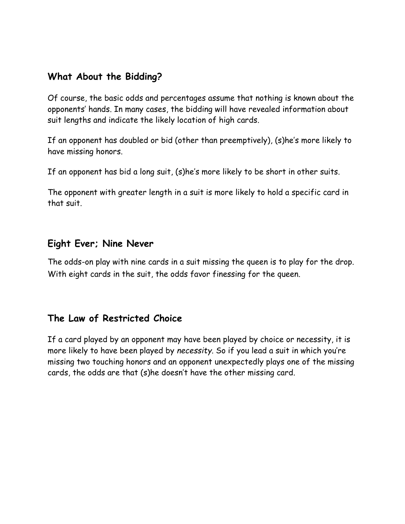#### **What About the Bidding?**

Of course, the basic odds and percentages assume that nothing is known about the opponents' hands. In many cases, the bidding will have revealed information about suit lengths and indicate the likely location of high cards.

If an opponent has doubled or bid (other than preemptively), (s)he's more likely to have missing honors.

If an opponent has bid a long suit, (s)he's more likely to be short in other suits.

The opponent with greater length in a suit is more likely to hold a specific card in that suit.

#### **Eight Ever; Nine Never**

The odds-on play with nine cards in a suit missing the queen is to play for the drop. With eight cards in the suit, the odds favor finessing for the queen.

#### **The Law of Restricted Choice**

If a card played by an opponent may have been played by choice or necessity, it is more likely to have been played by *necessity*. So if you lead a suit in which you're missing two touching honors and an opponent unexpectedly plays one of the missing cards, the odds are that (s)he doesn't have the other missing card*.*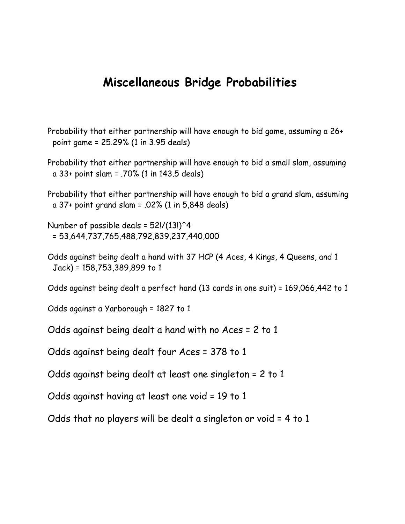### **Miscellaneous Bridge Probabilities**

- Probability that either partnership will have enough to bid game, assuming a 26+ point game = 25.29% (1 in 3.95 deals)
- Probability that either partnership will have enough to bid a small slam, assuming a 33+ point slam = .70% (1 in 143.5 deals)
- Probability that either partnership will have enough to bid a grand slam, assuming a 37+ point grand slam = .02% (1 in 5,848 deals)

Number of possible deals =  $52!/(13!)^4$ = 53,644,737,765,488,792,839,237,440,000

Odds against being dealt a hand with 37 HCP (4 Aces, 4 Kings, 4 Queens, and 1 Jack) = 158,753,389,899 to 1

Odds against being dealt a perfect hand (13 cards in one suit) = 169,066,442 to 1

Odds against a Yarborough = 1827 to 1

Odds against being dealt a hand with no Aces = 2 to 1

Odds against being dealt four Aces = 378 to 1

Odds against being dealt at least one singleton = 2 to 1

Odds against having at least one void = 19 to 1

Odds that no players will be dealt a singleton or void = 4 to 1